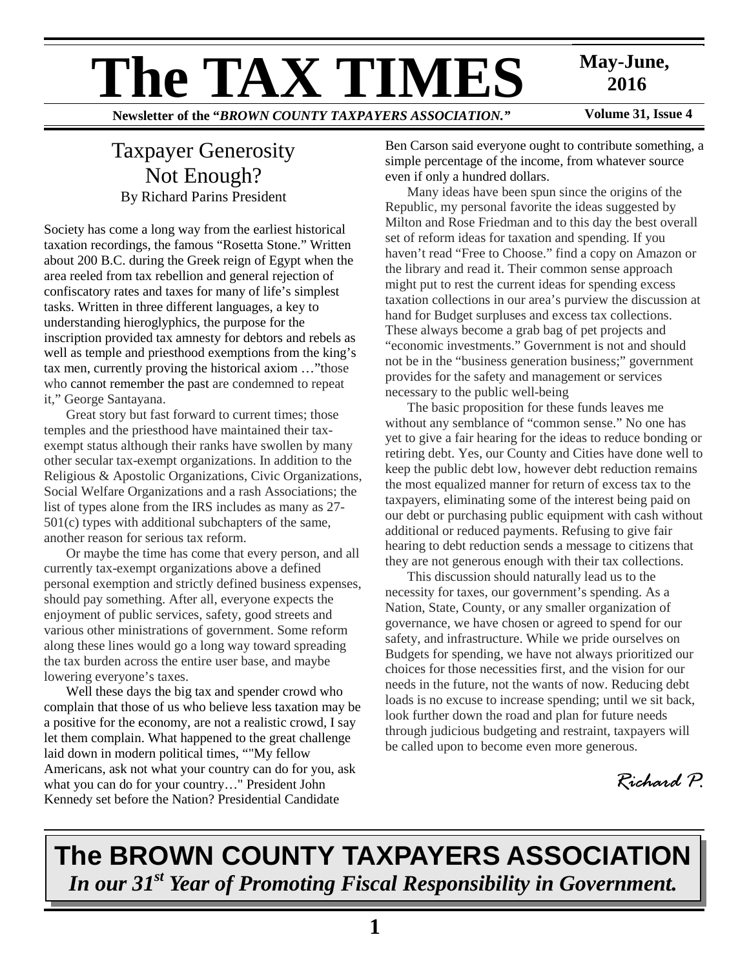# **The TAX TIMES** May-June,<br>Newsletter of the "BROWN COUNTY TAXPAYERS ASSOCIATION." Volume 31, Issue 4

 **2016** 

**Newsletter of the "***BROWN COUNTY TAXPAYERS ASSOCIATION.***"** 

## Taxpayer Generosity Not Enough? By Richard Parins President

Society has come a long way from the earliest historical taxation recordings, the famous "Rosetta Stone." Written about 200 B.C. during the Greek reign of Egypt when the area reeled from tax rebellion and general rejection of confiscatory rates and taxes for many of life's simplest tasks. Written in three different languages, a key to understanding hieroglyphics, the purpose for the inscription provided tax amnesty for debtors and rebels as well as temple and priesthood exemptions from the king's tax men, currently proving the historical axiom …"those who cannot remember the past are condemned to repeat it," George Santayana.

 Great story but fast forward to current times; those temples and the priesthood have maintained their taxexempt status although their ranks have swollen by many other secular tax-exempt organizations. In addition to the Religious & Apostolic Organizations, Civic Organizations, Social Welfare Organizations and a rash Associations; the list of types alone from the IRS includes as many as 27- 501(c) types with additional subchapters of the same, another reason for serious tax reform.

 Or maybe the time has come that every person, and all currently tax-exempt organizations above a defined personal exemption and strictly defined business expenses, should pay something. After all, everyone expects the enjoyment of public services, safety, good streets and various other ministrations of government. Some reform along these lines would go a long way toward spreading the tax burden across the entire user base, and maybe lowering everyone's taxes.

 Well these days the big tax and spender crowd who complain that those of us who believe less taxation may be a positive for the economy, are not a realistic crowd, I say let them complain. What happened to the great challenge laid down in modern political times, ""My fellow Americans, ask not what your country can do for you, ask what you can do for your country…" President John Kennedy set before the Nation? Presidential Candidate

Ben Carson said everyone ought to contribute something, a simple percentage of the income, from whatever source even if only a hundred dollars.

 Many ideas have been spun since the origins of the Republic, my personal favorite the ideas suggested by Milton and Rose Friedman and to this day the best overall set of reform ideas for taxation and spending. If you haven't read "Free to Choose." find a copy on Amazon or the library and read it. Their common sense approach might put to rest the current ideas for spending excess taxation collections in our area's purview the discussion at hand for Budget surpluses and excess tax collections. These always become a grab bag of pet projects and "economic investments." Government is not and should not be in the "business generation business;" government provides for the safety and management or services necessary to the public well-being

 The basic proposition for these funds leaves me without any semblance of "common sense." No one has yet to give a fair hearing for the ideas to reduce bonding or retiring debt. Yes, our County and Cities have done well to keep the public debt low, however debt reduction remains the most equalized manner for return of excess tax to the taxpayers, eliminating some of the interest being paid on our debt or purchasing public equipment with cash without additional or reduced payments. Refusing to give fair hearing to debt reduction sends a message to citizens that they are not generous enough with their tax collections.

 This discussion should naturally lead us to the necessity for taxes, our government's spending. As a Nation, State, County, or any smaller organization of governance, we have chosen or agreed to spend for our safety, and infrastructure. While we pride ourselves on Budgets for spending, we have not always prioritized our choices for those necessities first, and the vision for our needs in the future, not the wants of now. Reducing debt loads is no excuse to increase spending; until we sit back, look further down the road and plan for future needs through judicious budgeting and restraint, taxpayers will be called upon to become even more generous.



# **The BROWN COUNTY TAXPAYERS ASSOCIATION**  *In our 31st Year of Promoting Fiscal Responsibility in Government.*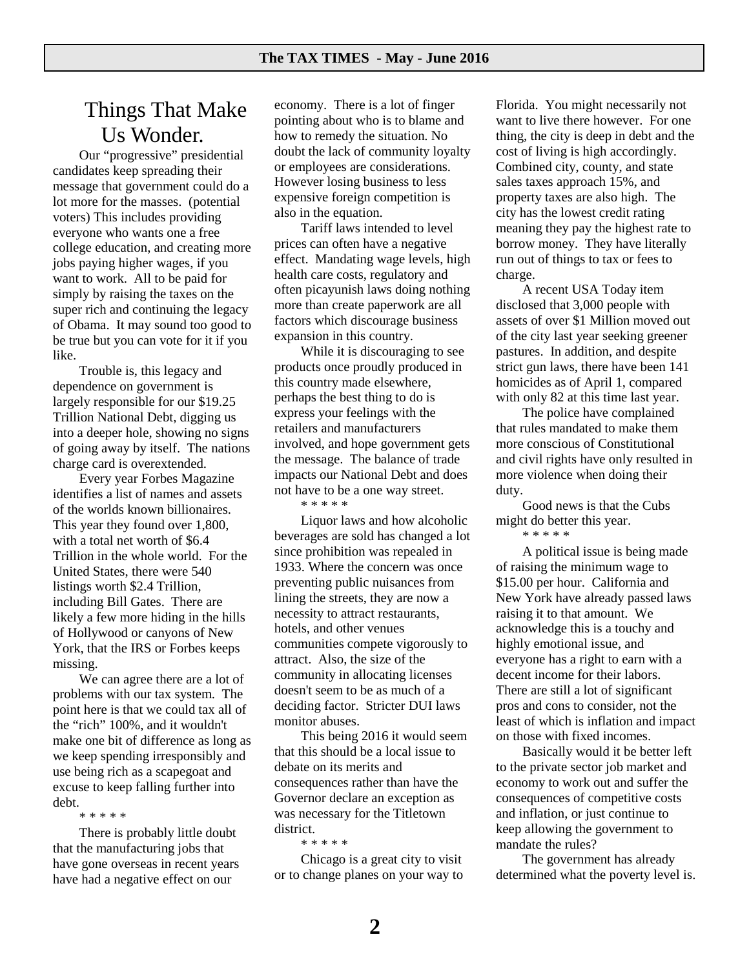### Things That Make Us Wonder.

Our "progressive" presidential candidates keep spreading their message that government could do a lot more for the masses. (potential voters) This includes providing everyone who wants one a free college education, and creating more jobs paying higher wages, if you want to work. All to be paid for simply by raising the taxes on the super rich and continuing the legacy of Obama. It may sound too good to be true but you can vote for it if you like.

Trouble is, this legacy and dependence on government is largely responsible for our \$19.25 Trillion National Debt, digging us into a deeper hole, showing no signs of going away by itself. The nations charge card is overextended.

Every year Forbes Magazine identifies a list of names and assets of the worlds known billionaires. This year they found over 1,800, with a total net worth of \$6.4 Trillion in the whole world. For the United States, there were 540 listings worth \$2.4 Trillion, including Bill Gates. There are likely a few more hiding in the hills of Hollywood or canyons of New York, that the IRS or Forbes keeps missing.

We can agree there are a lot of problems with our tax system. The point here is that we could tax all of the "rich" 100%, and it wouldn't make one bit of difference as long as we keep spending irresponsibly and use being rich as a scapegoat and excuse to keep falling further into debt.

\* \* \* \* \*

There is probably little doubt that the manufacturing jobs that have gone overseas in recent years have had a negative effect on our

economy. There is a lot of finger pointing about who is to blame and how to remedy the situation. No doubt the lack of community loyalty or employees are considerations. However losing business to less expensive foreign competition is also in the equation.

Tariff laws intended to level prices can often have a negative effect. Mandating wage levels, high health care costs, regulatory and often picayunish laws doing nothing more than create paperwork are all factors which discourage business expansion in this country.

While it is discouraging to see products once proudly produced in this country made elsewhere, perhaps the best thing to do is express your feelings with the retailers and manufacturers involved, and hope government gets the message. The balance of trade impacts our National Debt and does not have to be a one way street.

\* \* \* \* \*

Liquor laws and how alcoholic beverages are sold has changed a lot since prohibition was repealed in 1933. Where the concern was once preventing public nuisances from lining the streets, they are now a necessity to attract restaurants, hotels, and other venues communities compete vigorously to attract. Also, the size of the community in allocating licenses doesn't seem to be as much of a deciding factor. Stricter DUI laws monitor abuses.

This being 2016 it would seem that this should be a local issue to debate on its merits and consequences rather than have the Governor declare an exception as was necessary for the Titletown district.

\* \* \* \* \*

Chicago is a great city to visit or to change planes on your way to Florida. You might necessarily not want to live there however. For one thing, the city is deep in debt and the cost of living is high accordingly. Combined city, county, and state sales taxes approach 15%, and property taxes are also high. The city has the lowest credit rating meaning they pay the highest rate to borrow money. They have literally run out of things to tax or fees to charge.

A recent USA Today item disclosed that 3,000 people with assets of over \$1 Million moved out of the city last year seeking greener pastures. In addition, and despite strict gun laws, there have been 141 homicides as of April 1, compared with only 82 at this time last year.

The police have complained that rules mandated to make them more conscious of Constitutional and civil rights have only resulted in more violence when doing their duty.

Good news is that the Cubs might do better this year.

\* \* \* \* \*

A political issue is being made of raising the minimum wage to \$15.00 per hour. California and New York have already passed laws raising it to that amount. We acknowledge this is a touchy and highly emotional issue, and everyone has a right to earn with a decent income for their labors. There are still a lot of significant pros and cons to consider, not the least of which is inflation and impact on those with fixed incomes.

Basically would it be better left to the private sector job market and economy to work out and suffer the consequences of competitive costs and inflation, or just continue to keep allowing the government to mandate the rules?

The government has already determined what the poverty level is.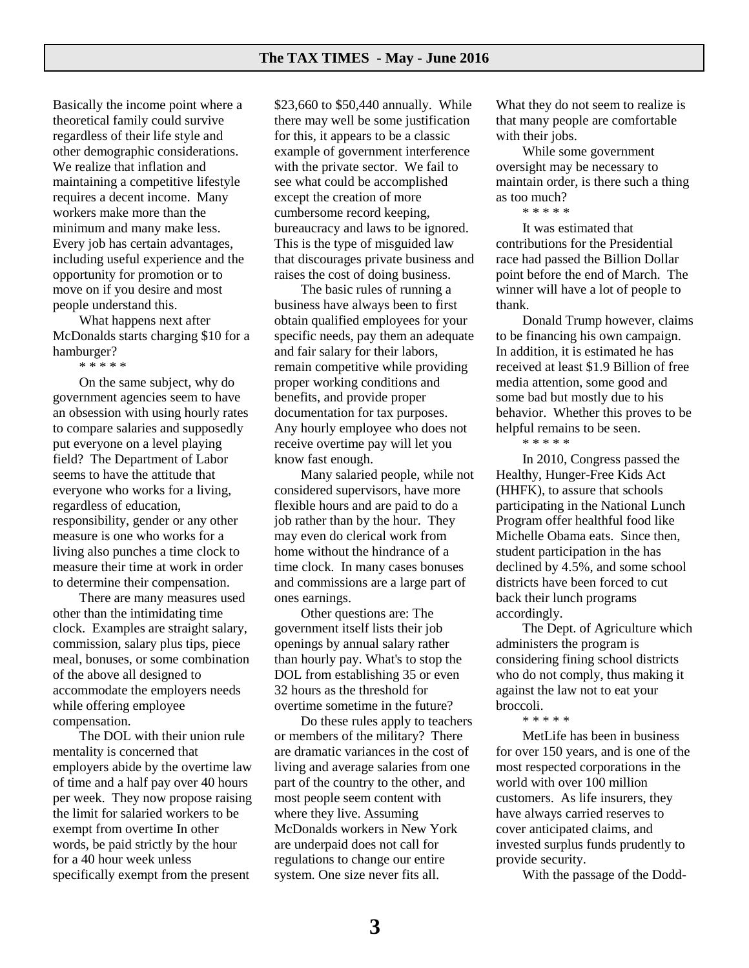Basically the income point where a theoretical family could survive regardless of their life style and other demographic considerations. We realize that inflation and maintaining a competitive lifestyle requires a decent income. Many workers make more than the minimum and many make less. Every job has certain advantages, including useful experience and the opportunity for promotion or to move on if you desire and most people understand this.

What happens next after McDonalds starts charging \$10 for a hamburger?

\* \* \* \* \*

On the same subject, why do government agencies seem to have an obsession with using hourly rates to compare salaries and supposedly put everyone on a level playing field? The Department of Labor seems to have the attitude that everyone who works for a living, regardless of education, responsibility, gender or any other measure is one who works for a living also punches a time clock to measure their time at work in order to determine their compensation.

There are many measures used other than the intimidating time clock. Examples are straight salary, commission, salary plus tips, piece meal, bonuses, or some combination of the above all designed to accommodate the employers needs while offering employee compensation.

The DOL with their union rule mentality is concerned that employers abide by the overtime law of time and a half pay over 40 hours per week. They now propose raising the limit for salaried workers to be exempt from overtime In other words, be paid strictly by the hour for a 40 hour week unless specifically exempt from the present

\$23,660 to \$50,440 annually. While there may well be some justification for this, it appears to be a classic example of government interference with the private sector. We fail to see what could be accomplished except the creation of more cumbersome record keeping, bureaucracy and laws to be ignored. This is the type of misguided law that discourages private business and raises the cost of doing business.

The basic rules of running a business have always been to first obtain qualified employees for your specific needs, pay them an adequate and fair salary for their labors, remain competitive while providing proper working conditions and benefits, and provide proper documentation for tax purposes. Any hourly employee who does not receive overtime pay will let you know fast enough.

Many salaried people, while not considered supervisors, have more flexible hours and are paid to do a job rather than by the hour. They may even do clerical work from home without the hindrance of a time clock. In many cases bonuses and commissions are a large part of ones earnings.

Other questions are: The government itself lists their job openings by annual salary rather than hourly pay. What's to stop the DOL from establishing 35 or even 32 hours as the threshold for overtime sometime in the future?

Do these rules apply to teachers or members of the military? There are dramatic variances in the cost of living and average salaries from one part of the country to the other, and most people seem content with where they live. Assuming McDonalds workers in New York are underpaid does not call for regulations to change our entire system. One size never fits all.

What they do not seem to realize is that many people are comfortable with their jobs.

While some government oversight may be necessary to maintain order, is there such a thing as too much?

#### \* \* \* \* \*

It was estimated that contributions for the Presidential race had passed the Billion Dollar point before the end of March. The winner will have a lot of people to thank.

Donald Trump however, claims to be financing his own campaign. In addition, it is estimated he has received at least \$1.9 Billion of free media attention, some good and some bad but mostly due to his behavior. Whether this proves to be helpful remains to be seen.

\* \* \* \* \*

In 2010, Congress passed the Healthy, Hunger-Free Kids Act (HHFK), to assure that schools participating in the National Lunch Program offer healthful food like Michelle Obama eats. Since then, student participation in the has declined by 4.5%, and some school districts have been forced to cut back their lunch programs accordingly.

The Dept. of Agriculture which administers the program is considering fining school districts who do not comply, thus making it against the law not to eat your broccoli.

\* \* \* \* \*

MetLife has been in business for over 150 years, and is one of the most respected corporations in the world with over 100 million customers. As life insurers, they have always carried reserves to cover anticipated claims, and invested surplus funds prudently to provide security.

With the passage of the Dodd-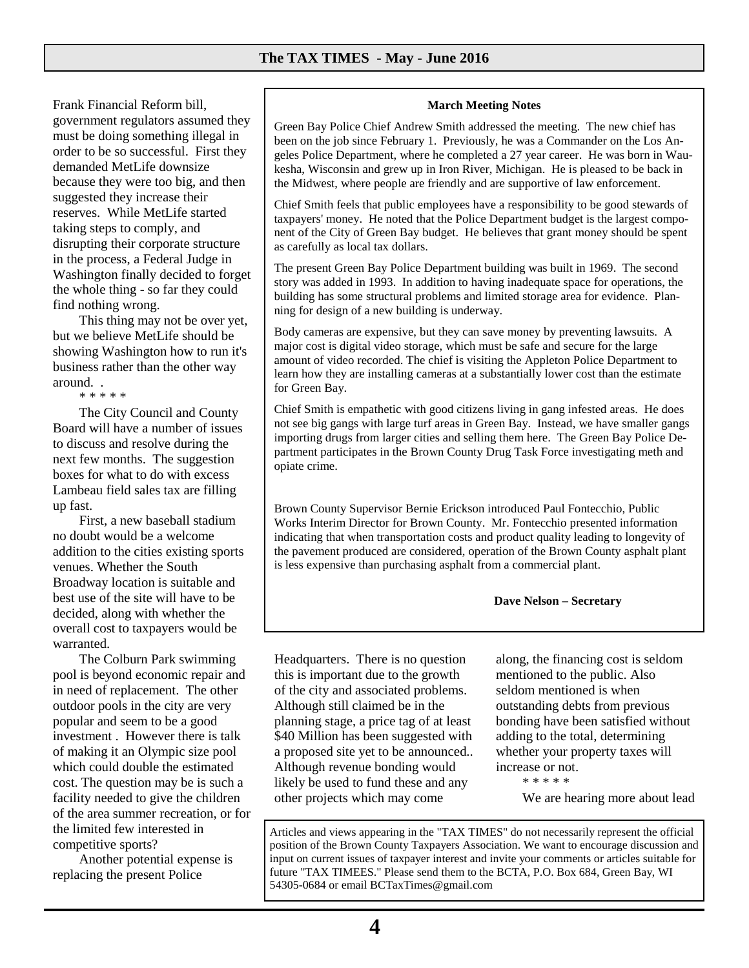Frank Financial Reform bill, government regulators assumed they must be doing something illegal in order to be so successful. First they demanded MetLife downsize because they were too big, and then suggested they increase their reserves. While MetLife started taking steps to comply, and disrupting their corporate structure in the process, a Federal Judge in Washington finally decided to forget the whole thing - so far they could find nothing wrong.

This thing may not be over yet, but we believe MetLife should be showing Washington how to run it's business rather than the other way around. .

\* \* \* \* \*

The City Council and County Board will have a number of issues to discuss and resolve during the next few months. The suggestion boxes for what to do with excess Lambeau field sales tax are filling up fast.

First, a new baseball stadium no doubt would be a welcome addition to the cities existing sports venues. Whether the South Broadway location is suitable and best use of the site will have to be decided, along with whether the overall cost to taxpayers would be warranted.

The Colburn Park swimming pool is beyond economic repair and in need of replacement. The other outdoor pools in the city are very popular and seem to be a good investment . However there is talk of making it an Olympic size pool which could double the estimated cost. The question may be is such a facility needed to give the children of the area summer recreation, or for the limited few interested in competitive sports?

Another potential expense is replacing the present Police

#### **March Meeting Notes**

Green Bay Police Chief Andrew Smith addressed the meeting. The new chief has been on the job since February 1. Previously, he was a Commander on the Los Angeles Police Department, where he completed a 27 year career. He was born in Waukesha, Wisconsin and grew up in Iron River, Michigan. He is pleased to be back in the Midwest, where people are friendly and are supportive of law enforcement.

Chief Smith feels that public employees have a responsibility to be good stewards of taxpayers' money. He noted that the Police Department budget is the largest component of the City of Green Bay budget. He believes that grant money should be spent as carefully as local tax dollars.

The present Green Bay Police Department building was built in 1969. The second story was added in 1993. In addition to having inadequate space for operations, the building has some structural problems and limited storage area for evidence. Planning for design of a new building is underway.

Body cameras are expensive, but they can save money by preventing lawsuits. A major cost is digital video storage, which must be safe and secure for the large amount of video recorded. The chief is visiting the Appleton Police Department to learn how they are installing cameras at a substantially lower cost than the estimate for Green Bay.

Chief Smith is empathetic with good citizens living in gang infested areas. He does not see big gangs with large turf areas in Green Bay. Instead, we have smaller gangs importing drugs from larger cities and selling them here. The Green Bay Police Department participates in the Brown County Drug Task Force investigating meth and opiate crime.

Brown County Supervisor Bernie Erickson introduced Paul Fontecchio, Public Works Interim Director for Brown County. Mr. Fontecchio presented information indicating that when transportation costs and product quality leading to longevity of the pavement produced are considered, operation of the Brown County asphalt plant is less expensive than purchasing asphalt from a commercial plant.

 **Dave Nelson – Secretary** 

Headquarters. There is no question this is important due to the growth of the city and associated problems. Although still claimed be in the planning stage, a price tag of at least \$40 Million has been suggested with a proposed site yet to be announced.. Although revenue bonding would likely be used to fund these and any other projects which may come

along, the financing cost is seldom mentioned to the public. Also seldom mentioned is when outstanding debts from previous bonding have been satisfied without adding to the total, determining whether your property taxes will increase or not.

```
* * * * *
```
We are hearing more about lead

Articles and views appearing in the "TAX TIMES" do not necessarily represent the official position of the Brown County Taxpayers Association. We want to encourage discussion and input on current issues of taxpayer interest and invite your comments or articles suitable for future "TAX TIMEES." Please send them to the BCTA, P.O. Box 684, Green Bay, WI 54305-0684 or email BCTaxTimes@gmail.com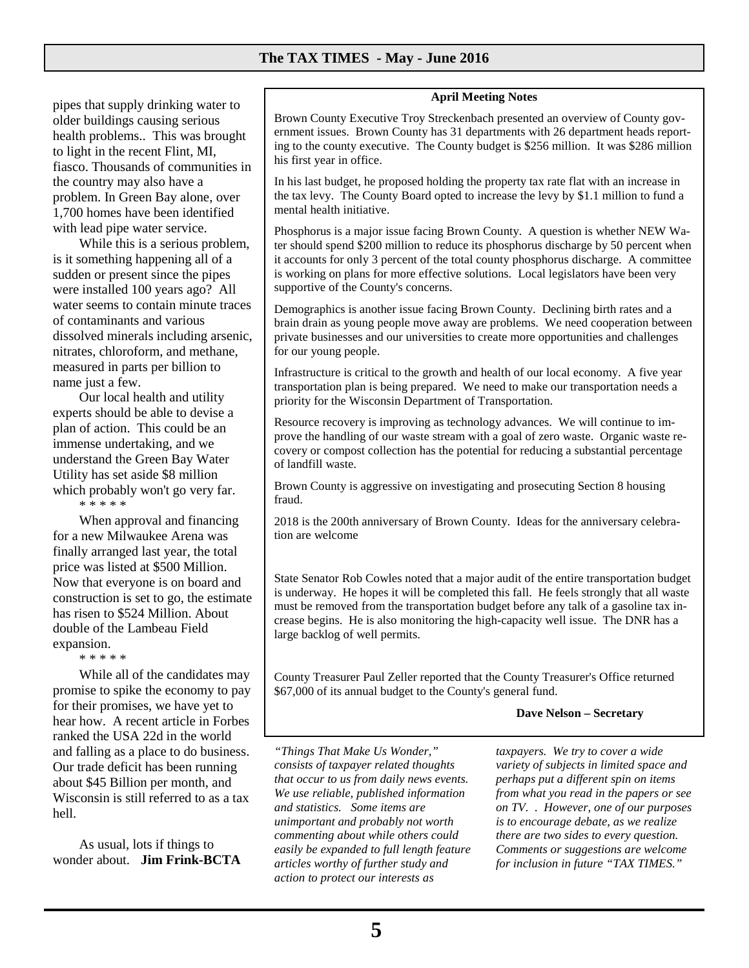pipes that supply drinking water to older buildings causing serious health problems.. This was brought to light in the recent Flint, MI, fiasco. Thousands of communities in the country may also have a problem. In Green Bay alone, over 1,700 homes have been identified with lead pipe water service.

While this is a serious problem, is it something happening all of a sudden or present since the pipes were installed 100 years ago? All water seems to contain minute traces of contaminants and various dissolved minerals including arsenic, nitrates, chloroform, and methane, measured in parts per billion to name just a few.

Our local health and utility experts should be able to devise a plan of action. This could be an immense undertaking, and we understand the Green Bay Water Utility has set aside \$8 million which probably won't go very far.

\* \* \* \* \*

When approval and financing for a new Milwaukee Arena was finally arranged last year, the total price was listed at \$500 Million. Now that everyone is on board and construction is set to go, the estimate has risen to \$524 Million. About double of the Lambeau Field expansion.

\* \* \* \* \*

While all of the candidates may promise to spike the economy to pay for their promises, we have yet to hear how. A recent article in Forbes ranked the USA 22d in the world and falling as a place to do business. Our trade deficit has been running about \$45 Billion per month, and Wisconsin is still referred to as a tax hell.

As usual, lots if things to wonder about. **Jim Frink-BCTA**

#### **April Meeting Notes**

Brown County Executive Troy Streckenbach presented an overview of County government issues. Brown County has 31 departments with 26 department heads reporting to the county executive. The County budget is \$256 million. It was \$286 million his first year in office.

In his last budget, he proposed holding the property tax rate flat with an increase in the tax levy. The County Board opted to increase the levy by \$1.1 million to fund a mental health initiative.

Phosphorus is a major issue facing Brown County. A question is whether NEW Water should spend \$200 million to reduce its phosphorus discharge by 50 percent when it accounts for only 3 percent of the total county phosphorus discharge. A committee is working on plans for more effective solutions. Local legislators have been very supportive of the County's concerns.

Demographics is another issue facing Brown County. Declining birth rates and a brain drain as young people move away are problems. We need cooperation between private businesses and our universities to create more opportunities and challenges for our young people.

Infrastructure is critical to the growth and health of our local economy. A five year transportation plan is being prepared. We need to make our transportation needs a priority for the Wisconsin Department of Transportation.

Resource recovery is improving as technology advances. We will continue to improve the handling of our waste stream with a goal of zero waste. Organic waste recovery or compost collection has the potential for reducing a substantial percentage of landfill waste.

Brown County is aggressive on investigating and prosecuting Section 8 housing fraud.

2018 is the 200th anniversary of Brown County. Ideas for the anniversary celebration are welcome

State Senator Rob Cowles noted that a major audit of the entire transportation budget is underway. He hopes it will be completed this fall. He feels strongly that all waste must be removed from the transportation budget before any talk of a gasoline tax increase begins. He is also monitoring the high-capacity well issue. The DNR has a large backlog of well permits.

County Treasurer Paul Zeller reported that the County Treasurer's Office returned \$67,000 of its annual budget to the County's general fund.

#### **Dave Nelson – Secretary**

*"Things That Make Us Wonder," consists of taxpayer related thoughts that occur to us from daily news events. We use reliable, published information and statistics. Some items are unimportant and probably not worth commenting about while others could easily be expanded to full length feature articles worthy of further study and action to protect our interests as* 

*taxpayers. We try to cover a wide variety of subjects in limited space and perhaps put a different spin on items from what you read in the papers or see on TV. . However, one of our purposes is to encourage debate, as we realize there are two sides to every question. Comments or suggestions are welcome for inclusion in future "TAX TIMES."*